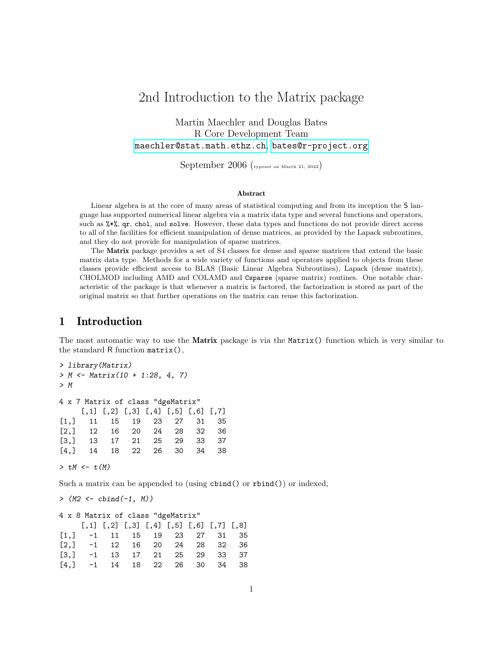# 2nd Introduction to the Matrix package

Martin Maechler and Douglas Bates R Core Development Team [maechler@stat.math.ethz.ch](mailto:maechler@stat.math.ethz.ch), [bates@r-project.org](mailto:bates@r-project.org)

September 2006 (typeset on March 21, 2022)

#### Abstract

Linear algebra is at the core of many areas of statistical computing and from its inception the S language has supported numerical linear algebra via a matrix data type and several functions and operators, such as %\*%, qr, chol, and solve. However, these data types and functions do not provide direct access to all of the facilities for efficient manipulation of dense matrices, as provided by the Lapack subroutines, and they do not provide for manipulation of sparse matrices.

The Matrix package provides a set of S4 classes for dense and sparse matrices that extend the basic matrix data type. Methods for a wide variety of functions and operators applied to objects from these classes provide efficient access to BLAS (Basic Linear Algebra Subroutines), Lapack (dense matrix), CHOLMOD including AMD and COLAMD and Csparse (sparse matrix) routines. One notable characteristic of the package is that whenever a matrix is factored, the factorization is stored as part of the original matrix so that further operations on the matrix can reuse this factorization.

### 1 Introduction

The most automatic way to use the **Matrix** package is via the **Matrix**() function which is very similar to the standard R function matrix(),

```
> library(Matrix)
> M <- Matrix(10 + 1:28, 4, 7)
> M
4 x 7 Matrix of class "dgeMatrix"
    [,1] [,2] [,3] [,4] [,5] [,6] [,7]
[1,] 11 15 19 23 27 31 35
[2,] 12 16 20 24 28 32 36
[3,] 13 17 21 25 29 33 37
[4,] 14 18 22 26 30 34 38
```
 $> tM < - t(M)$ 

Such a matrix can be appended to (using cbind() or rbind()) or indexed,

 $>$  (M2 <- cbind(-1, M))

```
4 x 8 Matrix of class "dgeMatrix"
         \begin{bmatrix} 0.1 \end{bmatrix} \begin{bmatrix} 0.2 \end{bmatrix} \begin{bmatrix} 0.3 \end{bmatrix} \begin{bmatrix} 0.4 \end{bmatrix} \begin{bmatrix} 0.5 \end{bmatrix} \begin{bmatrix} 0.6 \end{bmatrix} \begin{bmatrix} 0.7 \end{bmatrix} \begin{bmatrix} 0.8 \end{bmatrix}[1,] -1 11 15 19 23 27 31 35
[2,] -1 12 16 20 24 28 32 36
[3,] -1 13 17 21 25 29 33 37
[4,] -1 14 18 22 26 30 34 38
```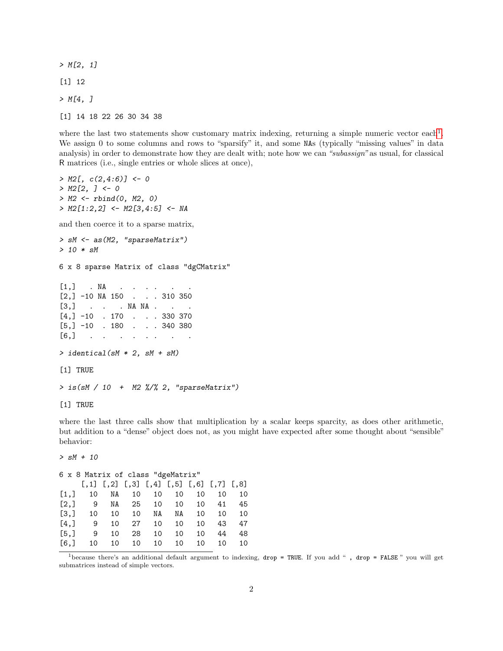$> M[2, 1]$ [1] 12  $> M[4, J]$ [1] 14 18 22 26 30 34 38

where the last two statements show customary matrix indexing, returning a simple numeric vector each<sup>[1](#page-1-0)</sup>. We assign 0 to some columns and rows to "sparsify" it, and some NAs (typically "missing values" in data analysis) in order to demonstrate how they are dealt with; note how we can "subassign" as usual, for classical R matrices (i.e., single entries or whole slices at once),

```
> M2[, c(2,4:6)] <- 0
> M2[2, ] < -0> M2 < - rbind(0, M2, 0)
> M2[1:2,2] <- M2[3,4:5] <- NA
and then coerce it to a sparse matrix,
> sM <- as(M2, "sparseMatrix")
> 10 * sM
6 x 8 sparse Matrix of class "dgCMatrix"
[1,] . NA . . . .
[2,] -10 NA 150 . . . 310 350
[3,] . . . NA NA . .
[4,] -10 . 170 . . . 330 370
[5,] -10 . 180 . . . 340 380
[6,] . . . . . .
> identical(sM * 2, sM + sM)
[1] TRUE
> is(sM / 10 + M2 %/% 2, "sparseMatrix")
[1] TRUE
```
where the last three calls show that multiplication by a scalar keeps sparcity, as does other arithmetic, but addition to a "dense" object does not, as you might have expected after some thought about "sensible" behavior:

```
> sM + 106 x 8 Matrix of class "dgeMatrix"
   [,1] [,2] [,3] [,4] [,5] [,6] [,7] [,8]
[1,] 10 NA 10 10 10 10 10 10
[2,] 9 NA 25 10 10 10 41 45
[3,] 10 10 10 NA NA 10 10 10
[4,] 9 10 27 10 10 10 43 47
[5,] 9 10 28 10 10 10 44 48
[6,] 10 10 10 10 10 10 10 10
```
<span id="page-1-0"></span><sup>1</sup>because there's an additional default argument to indexing, drop = TRUE. If you add " , drop = FALSE " you will get submatrices instead of simple vectors.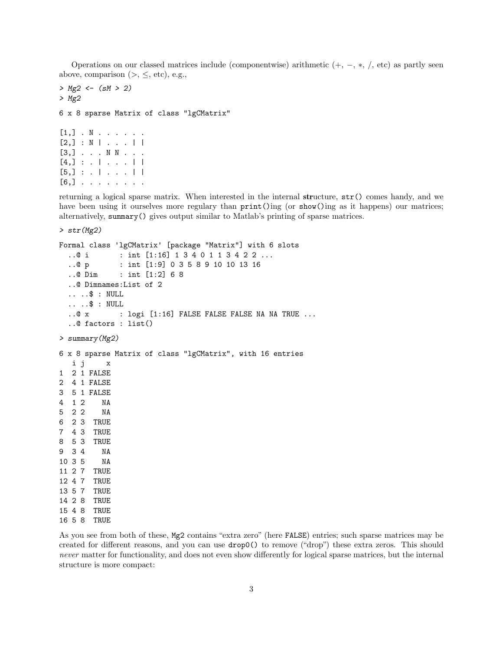Operations on our classed matrices include (componentwise) arithmetic  $(+, -, *, ',$  etc) as partly seen above, comparison  $(>, \le, etc), e.g.,$ 

```
> Mg2 \le - (sM > 2)> Mg2
6 x 8 sparse Matrix of class "lgCMatrix"
[1,] \cdot N \cdot \cdot \cdot \cdot \cdot[2,] : N | ... |[3,] . . . N N . . .
[4,] : . | . . . |[5,] : . | . . . . |[6,] . . . . . . . .
```
returning a logical sparse matrix. When interested in the internal structure, str() comes handy, and we have been using it ourselves more regulary than  $print()$ ing (or show()ing as it happens) our matrices; alternatively, summary() gives output similar to Matlab's printing of sparse matrices.

> str(Mg2)

```
Formal class 'lgCMatrix' [package "Matrix"] with 6 slots
  ..@ i : int [1:16] 1 3 4 0 1 1 3 4 2 2 ...
 ..@ p : int [1:9] 0 3 5 8 9 10 10 13 16
 ..@ Dim : int [1:2] 6 8
 ..@ Dimnames:List of 2
  .. ..$ : NULL
 .. ..$ : NULL
  ..@ x : logi [1:16] FALSE FALSE FALSE NA NA TRUE ...
  ..@ factors : list()
> summary(Mg2)
6 x 8 sparse Matrix of class "lgCMatrix", with 16 entries
  i j x
1 2 1 FALSE
2 4 1 FALSE
3 5 1 FALSE
4 1 2 NA
5 2 2 NA
6 2 3 TRUE
7 4 3 TRUE
8 5 3 TRUE
9 3 4 NA
10 3 5 NA
11 2 7 TRUE
12 4 7 TRUE
13 5 7 TRUE
14 2 8 TRUE
15 4 8 TRUE
16 5 8 TRUE
```
As you see from both of these, Mg2 contains "extra zero" (here FALSE) entries; such sparse matrices may be created for different reasons, and you can use drop0() to remove ("drop") these extra zeros. This should never matter for functionality, and does not even show differently for logical sparse matrices, but the internal structure is more compact: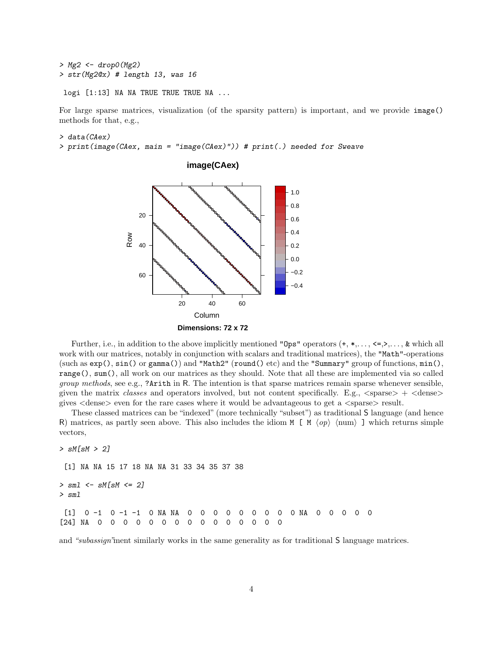```
> Mg2 <- drop0(Mg2)
> str(Mg2@x) # length 13, was 16
```
logi [1:13] NA NA TRUE TRUE TRUE NA ...

For large sparse matrices, visualization (of the sparsity pattern) is important, and we provide image() methods for that, e.g.,

> data(CAex)

> print(image(CAex, main = "image(CAex)")) # print(.) needed for Sweave



Further, i.e., in addition to the above implicitly mentioned "Ops" operators  $(+, *, \ldots, \leq, >, \ldots, \&$  which all work with our matrices, notably in conjunction with scalars and traditional matrices), the "Math"-operations (such as  $exp()$ ,  $sin()$  or  $gamma($ ) and "Math2" (round() etc) and the "Summary" group of functions,  $min($ ), range(), sum(), all work on our matrices as they should. Note that all these are implemented via so called group methods, see e.g., ?Arith in R. The intention is that sparse matrices remain sparse whenever sensible, given the matrix classes and operators involved, but not content specifically. E.g.,  $\langle$ sparse $\rangle$  +  $\langle$ dense $\rangle$ gives  $\langle$  dense $\rangle$  even for the rare cases where it would be advantageous to get a  $\langle$  sparse $\rangle$  result.

These classed matrices can be "indexed" (more technically "subset") as traditional S language (and hence R) matrices, as partly seen above. This also includes the idiom M [ M  $\langle op \rangle$   $\langle num \rangle$  ] which returns simple vectors,

> sM[sM > 2]

[1] NA NA 15 17 18 NA NA 31 33 34 35 37 38

 $>$  sml  $<-$  sM[sM  $<=$  2]

> sml

[1] 0 -1 0 -1 -1 0 NA NA 0 0 0 0 0 0 0 0 0 NA 0 0 0 0 0 [24] NA 0 0 0 0 0 0 0 0 0 0 0 0 0 0 0

and "subassign"ment similarly works in the same generality as for traditional S language matrices.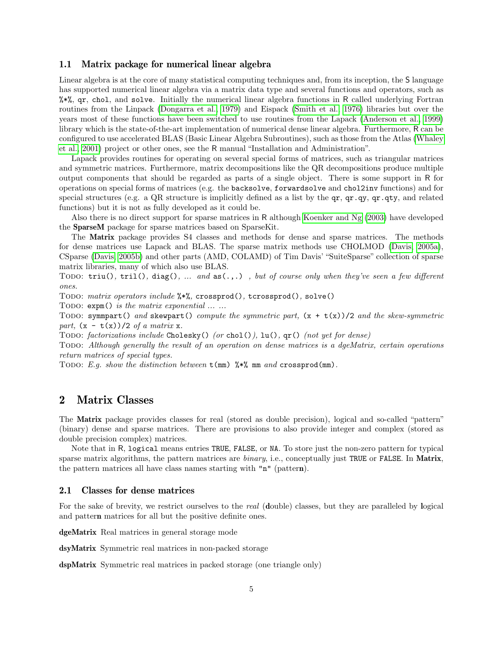#### 1.1 Matrix package for numerical linear algebra

Linear algebra is at the core of many statistical computing techniques and, from its inception, the S language has supported numerical linear algebra via a matrix data type and several functions and operators, such as %\*%, qr, chol, and solve. Initially the numerical linear algebra functions in R called underlying Fortran routines from the Linpack [\(Dongarra et al., 1979\)](#page-8-0) and Eispack [\(Smith et al., 1976\)](#page-8-1) libraries but over the years most of these functions have been switched to use routines from the Lapack [\(Anderson et al., 1999\)](#page-8-2) library which is the state-of-the-art implementation of numerical dense linear algebra. Furthermore, R can be configured to use accelerated BLAS (Basic Linear Algebra Subroutines), such as those from the Atlas [\(Whaley](#page-8-3) [et al., 2001\)](#page-8-3) project or other ones, see the R manual "Installation and Administration".

Lapack provides routines for operating on several special forms of matrices, such as triangular matrices and symmetric matrices. Furthermore, matrix decompositions like the QR decompositions produce multiple output components that should be regarded as parts of a single object. There is some support in R for operations on special forms of matrices (e.g. the backsolve, forwardsolve and chol2inv functions) and for special structures (e.g. a QR structure is implicitly defined as a list by the qr, qr.qy, qr.qty, and related functions) but it is not as fully developed as it could be.

Also there is no direct support for sparse matrices in R although [Koenker and Ng](#page-8-4) [\(2003\)](#page-8-4) have developed the SparseM package for sparse matrices based on SparseKit.

The Matrix package provides S4 classes and methods for dense and sparse matrices. The methods for dense matrices use Lapack and BLAS. The sparse matrix methods use CHOLMOD [\(Davis, 2005a\)](#page-8-5), CSparse [\(Davis, 2005b\)](#page-8-6) and other parts (AMD, COLAMD) of Tim Davis' "SuiteSparse" collection of sparse matrix libraries, many of which also use BLAS.

Todo: triu(), tril(), diag(), ... and  $as(.,.)$ , but of course only when they've seen a few different ones.

Todo: matrix operators include %\*%, crossprod(), tcrossprod(), solve()

TODO:  $expm()$  is the matrix exponential  $\dots$ ...

TODO: symmpart() and skewpart() compute the symmetric part,  $(x + t(x))/2$  and the skew-symmetric part,  $(x - t(x))/2$  of a matrix x.

Todo: factorizations include Cholesky() (or chol()), lu(),  $\text{qr}()$  (not yet for dense)

Todo: Although generally the result of an operation on dense matrices is a dgeMatrix, certain operations return matrices of special types.

TODO: E.g. show the distinction between  $t(mm)$  %\*% mm and crossprod(mm).

### 2 Matrix Classes

The Matrix package provides classes for real (stored as double precision), logical and so-called "pattern" (binary) dense and sparse matrices. There are provisions to also provide integer and complex (stored as double precision complex) matrices.

Note that in R, logical means entries TRUE, FALSE, or NA. To store just the non-zero pattern for typical sparse matrix algorithms, the pattern matrices are *binary*, i.e., conceptually just TRUE or FALSE. In Matrix, the pattern matrices all have class names starting with "n" (pattern).

#### 2.1 Classes for dense matrices

For the sake of brevity, we restrict ourselves to the *real* (double) classes, but they are paralleled by logical and pattern matrices for all but the positive definite ones.

dgeMatrix Real matrices in general storage mode

dsyMatrix Symmetric real matrices in non-packed storage

dspMatrix Symmetric real matrices in packed storage (one triangle only)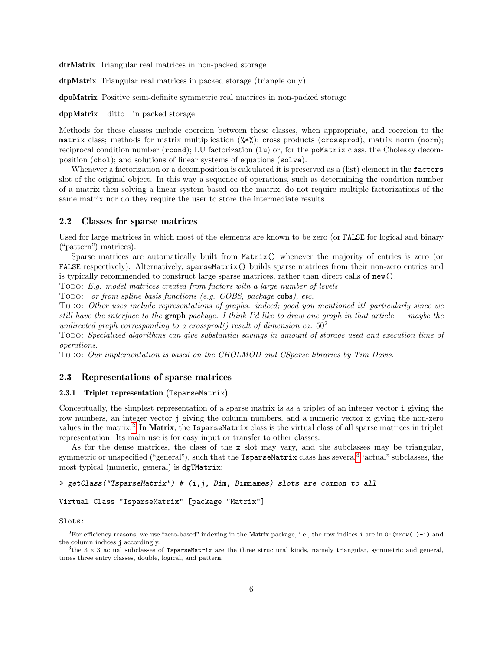dtrMatrix Triangular real matrices in non-packed storage

dtpMatrix Triangular real matrices in packed storage (triangle only)

dpoMatrix Positive semi-definite symmetric real matrices in non-packed storage

dppMatrix ditto in packed storage

Methods for these classes include coercion between these classes, when appropriate, and coercion to the matrix class; methods for matrix multiplication (%\*%); cross products (crossprod), matrix norm (norm); reciprocal condition number (rcond); LU factorization (1u) or, for the poMatrix class, the Cholesky decomposition (chol); and solutions of linear systems of equations (solve).

Whenever a factorization or a decomposition is calculated it is preserved as a (list) element in the factors slot of the original object. In this way a sequence of operations, such as determining the condition number of a matrix then solving a linear system based on the matrix, do not require multiple factorizations of the same matrix nor do they require the user to store the intermediate results.

#### 2.2 Classes for sparse matrices

Used for large matrices in which most of the elements are known to be zero (or FALSE for logical and binary ("pattern") matrices).

Sparse matrices are automatically built from Matrix() whenever the majority of entries is zero (or FALSE respectively). Alternatively, sparseMatrix() builds sparse matrices from their non-zero entries and is typically recommended to construct large sparse matrices, rather than direct calls of new().

Todo: E.g. model matrices created from factors with a large number of levels

Todo: or from spline basis functions (e.g. COBS, package cobs), etc.

Todo: Other uses include representations of graphs. indeed; good you mentioned it! particularly since we still have the interface to the graph package. I think I'd like to draw one graph in that article — maybe the undirected graph corresponding to a crossprod() result of dimension ca.  $50<sup>2</sup>$ 

Todo: Specialized algorithms can give substantial savings in amount of storage used and execution time of operations.

Todo: Our implementation is based on the CHOLMOD and CSparse libraries by Tim Davis.

#### 2.3 Representations of sparse matrices

#### 2.3.1 Triplet representation (TsparseMatrix)

Conceptually, the simplest representation of a sparse matrix is as a triplet of an integer vector i giving the row numbers, an integer vector j giving the column numbers, and a numeric vector x giving the non-zero values in the matrix.<sup>[2](#page-5-0)</sup> In Matrix, the TsparseMatrix class is the virtual class of all sparse matrices in triplet representation. Its main use is for easy input or transfer to other classes.

As for the dense matrices, the class of the x slot may vary, and the subclasses may be triangular, symmetric or unspecified ("general"), such that the  ${\tt TsparseMatrix}$  class has several<sup>[3](#page-5-1)</sup> 'actual" subclasses, the most typical (numeric, general) is dgTMatrix:

> getClass("TsparseMatrix") # (i,j, Dim, Dimnames) slots are common to all

Virtual Class "TsparseMatrix" [package "Matrix"]

#### Slots:

<span id="page-5-0"></span><sup>&</sup>lt;sup>2</sup>For efficiency reasons, we use "zero-based" indexing in the Matrix package, i.e., the row indices i are in 0:  $(\text{now}(.)-1)$  and the column indices j accordingly.

<span id="page-5-1"></span> $3$ the  $3 \times 3$  actual subclasses of TsparseMatrix are the three structural kinds, namely triangular, symmetric and general, times three entry classes, double, logical, and pattern.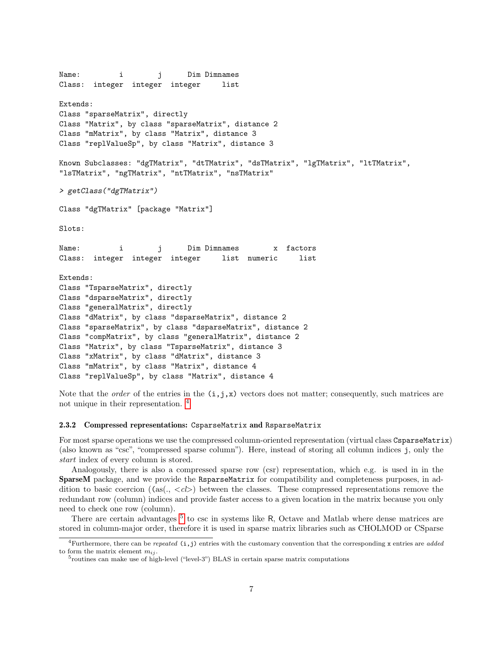```
Name: i j Dim Dimnames
Class: integer integer integer list
Extends:
Class "sparseMatrix", directly
Class "Matrix", by class "sparseMatrix", distance 2
Class "mMatrix", by class "Matrix", distance 3
Class "replValueSp", by class "Matrix", distance 3
Known Subclasses: "dgTMatrix", "dtTMatrix", "dsTMatrix", "lgTMatrix", "ltTMatrix",
"lsTMatrix", "ngTMatrix", "ntTMatrix", "nsTMatrix"
> getClass("dgTMatrix")
Class "dgTMatrix" [package "Matrix"]
Slots:
Name: i j Dim Dimnames x factors
Class: integer integer integer list numeric list
Extends:
Class "TsparseMatrix", directly
Class "dsparseMatrix", directly
Class "generalMatrix", directly
Class "dMatrix", by class "dsparseMatrix", distance 2
Class "sparseMatrix", by class "dsparseMatrix", distance 2
Class "compMatrix", by class "generalMatrix", distance 2
Class "Matrix", by class "TsparseMatrix", distance 3
Class "xMatrix", by class "dMatrix", distance 3
Class "mMatrix", by class "Matrix", distance 4
Class "replValueSp", by class "Matrix", distance 4
```
Note that the *order* of the entries in the  $(i, j, x)$  vectors does not matter; consequently, such matrices are not unique in their representation. [4](#page-6-0)

#### 2.3.2 Compressed representations: CsparseMatrix and RsparseMatrix

For most sparse operations we use the compressed column-oriented representation (virtual class CsparseMatrix) (also known as "csc", "compressed sparse column"). Here, instead of storing all column indices j, only the start index of every column is stored.

Analogously, there is also a compressed sparse row (csr) representation, which e.g. is used in in the SparseM package, and we provide the RsparseMatrix for compatibility and completeness purposes, in addition to basic coercion ((as( $\ldots$  < cl>) between the classes. These compressed representations remove the redundant row (column) indices and provide faster access to a given location in the matrix because you only need to check one row (column).

There are certain advantages<sup>[5](#page-6-1)</sup> to csc in systems like R, Octave and Matlab where dense matrices are stored in column-major order, therefore it is used in sparse matrix libraries such as CHOLMOD or CSparse

<span id="page-6-0"></span><sup>&</sup>lt;sup>4</sup>Furthermore, there can be *repeated* (i,j) entries with the customary convention that the corresponding x entries are *added* to form the matrix element  $m_{ij}$ .

<span id="page-6-1"></span><sup>&</sup>lt;sup>5</sup>routines can make use of high-level ("level-3") BLAS in certain sparse matrix computations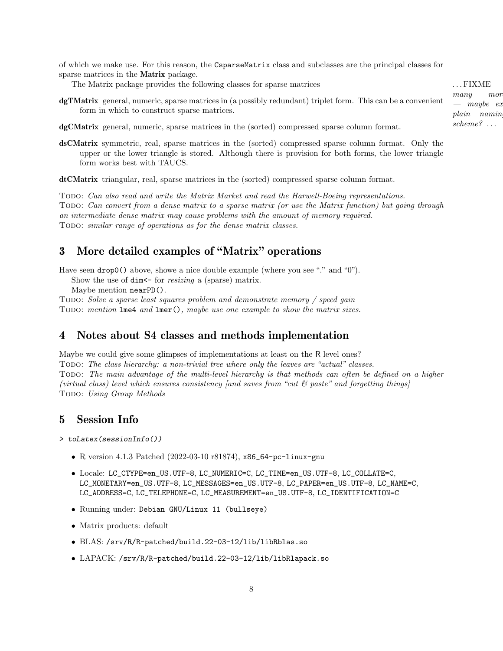of which we make use. For this reason, the CsparseMatrix class and subclasses are the principal classes for sparse matrices in the Matrix package.

The Matrix package provides the following classes for sparse matrices ... FIXME

dgTMatrix general, numeric, sparse matrices in (a possibly redundant) triplet form. This can be a convenient form in which to construct sparse matrices.

dgCMatrix general, numeric, sparse matrices in the (sorted) compressed sparse column format.

dsCMatrix symmetric, real, sparse matrices in the (sorted) compressed sparse column format. Only the upper or the lower triangle is stored. Although there is provision for both forms, the lower triangle form works best with TAUCS.

dtCMatrix triangular, real, sparse matrices in the (sorted) compressed sparse column format.

Todo: Can also read and write the Matrix Market and read the Harwell-Boeing representations. Todo: Can convert from a dense matrix to a sparse matrix (or use the Matrix function) but going through an intermediate dense matrix may cause problems with the amount of memory required. Todo: similar range of operations as for the dense matrix classes.

# 3 More detailed examples of "Matrix" operations

Have seen drop0() above, showe a nice double example (where you see "." and "0").

Show the use of  $\dim$  - for resizing a (sparse) matrix.

Maybe mention nearPD().

Todo: Solve a sparse least squares problem and demonstrate memory / speed gain TODO: mention lme4 and lmer(), maybe use one example to show the matrix sizes.

## 4 Notes about S4 classes and methods implementation

Maybe we could give some glimpses of implementations at least on the R level ones? Todo: The class hierarchy: a non-trivial tree where only the leaves are "actual" classes. Todo: The main advantage of the multi-level hierarchy is that methods can often be defined on a higher (virtual class) level which ensures consistency [and saves from "cut  $\mathcal{C}$  paste" and forgetting things] Todo: Using Group Methods

# 5 Session Info

> toLatex(sessionInfo())

- R version 4.1.3 Patched (2022-03-10 r81874), x86\_64-pc-linux-gnu
- Locale: LC\_CTYPE=en\_US.UTF-8, LC\_NUMERIC=C, LC\_TIME=en\_US.UTF-8, LC\_COLLATE=C, LC\_MONETARY=en\_US.UTF-8, LC\_MESSAGES=en\_US.UTF-8, LC\_PAPER=en\_US.UTF-8, LC\_NAME=C, LC\_ADDRESS=C, LC\_TELEPHONE=C, LC\_MEASUREMENT=en\_US.UTF-8, LC\_IDENTIFICATION=C
- Running under: Debian GNU/Linux 11 (bullseye)
- Matrix products: default
- BLAS: /srv/R/R-patched/build.22-03-12/lib/libRblas.so
- LAPACK: /srv/R/R-patched/build.22-03-12/lib/libRlapack.so

8

many mor  $-$  maybe ex plain naming scheme? . . .